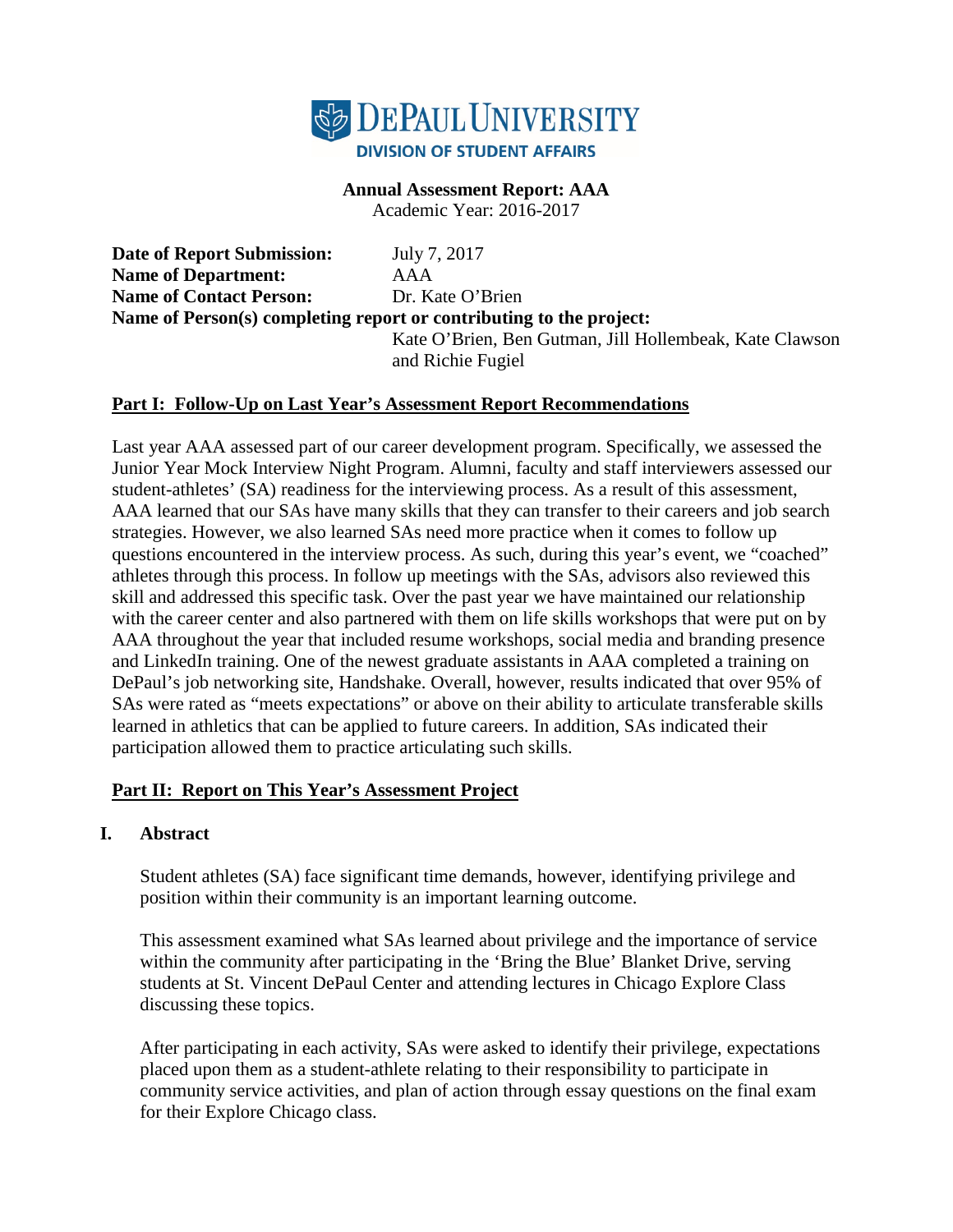

#### **Annual Assessment Report: AAA**

Academic Year: 2016-2017

**Date of Report Submission:** July 7, 2017 **Name of Department:** AAA **Name of Contact Person:** Dr. Kate O'Brien **Name of Person(s) completing report or contributing to the project:**  Kate O'Brien, Ben Gutman, Jill Hollembeak, Kate Clawson and Richie Fugiel

## **Part I: Follow-Up on Last Year's Assessment Report Recommendations**

Last year AAA assessed part of our career development program. Specifically, we assessed the Junior Year Mock Interview Night Program. Alumni, faculty and staff interviewers assessed our student-athletes' (SA) readiness for the interviewing process. As a result of this assessment, AAA learned that our SAs have many skills that they can transfer to their careers and job search strategies. However, we also learned SAs need more practice when it comes to follow up questions encountered in the interview process. As such, during this year's event, we "coached" athletes through this process. In follow up meetings with the SAs, advisors also reviewed this skill and addressed this specific task. Over the past year we have maintained our relationship with the career center and also partnered with them on life skills workshops that were put on by AAA throughout the year that included resume workshops, social media and branding presence and LinkedIn training. One of the newest graduate assistants in AAA completed a training on DePaul's job networking site, Handshake. Overall, however, results indicated that over 95% of SAs were rated as "meets expectations" or above on their ability to articulate transferable skills learned in athletics that can be applied to future careers. In addition, SAs indicated their participation allowed them to practice articulating such skills.

#### **Part II: Report on This Year's Assessment Project**

#### **I. Abstract**

Student athletes (SA) face significant time demands, however, identifying privilege and position within their community is an important learning outcome.

This assessment examined what SAs learned about privilege and the importance of service within the community after participating in the 'Bring the Blue' Blanket Drive, serving students at St. Vincent DePaul Center and attending lectures in Chicago Explore Class discussing these topics.

After participating in each activity, SAs were asked to identify their privilege, expectations placed upon them as a student-athlete relating to their responsibility to participate in community service activities, and plan of action through essay questions on the final exam for their Explore Chicago class.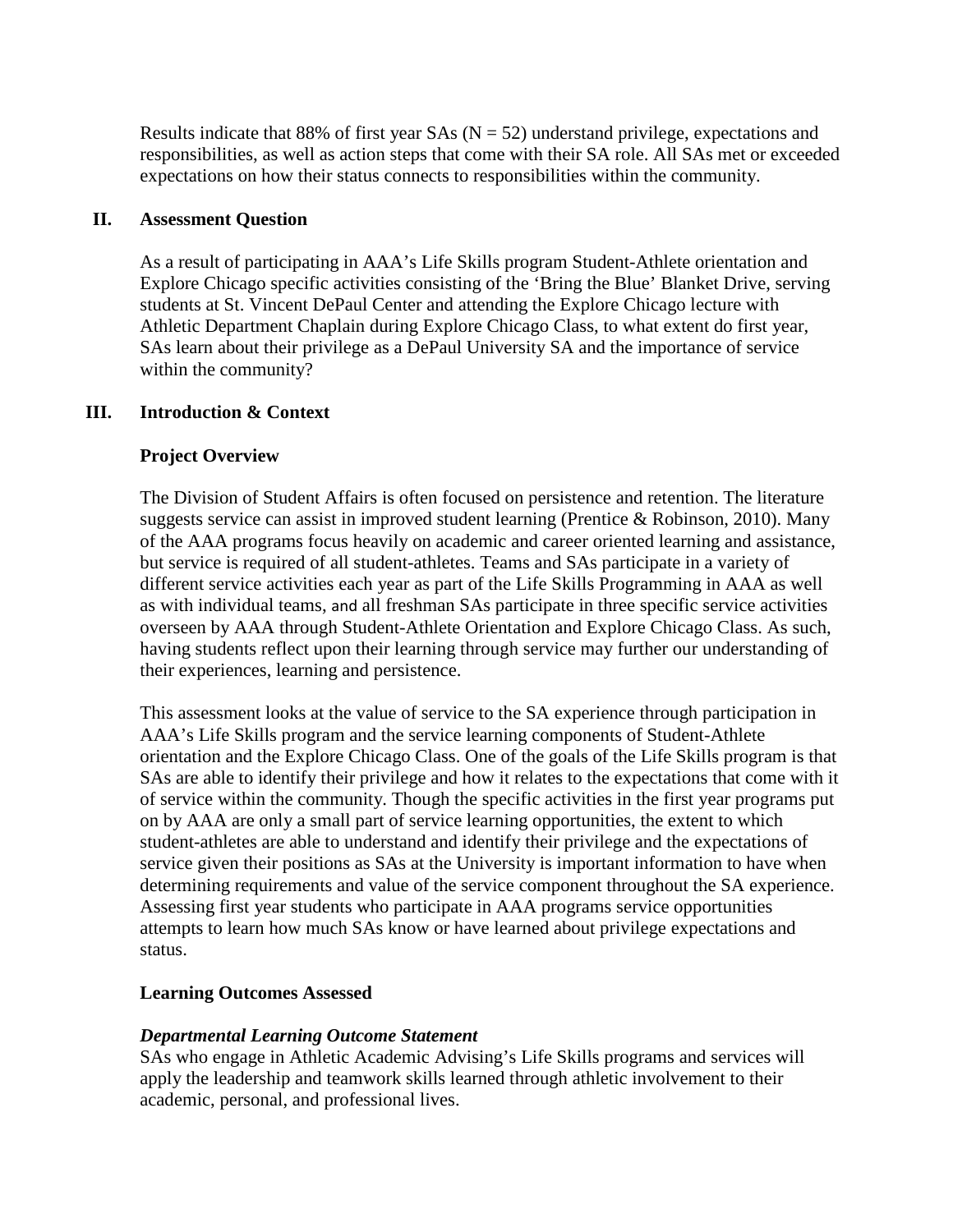Results indicate that 88% of first year SAs  $(N = 52)$  understand privilege, expectations and responsibilities, as well as action steps that come with their SA role. All SAs met or exceeded expectations on how their status connects to responsibilities within the community.

## **II. Assessment Question**

As a result of participating in AAA's Life Skills program Student-Athlete orientation and Explore Chicago specific activities consisting of the 'Bring the Blue' Blanket Drive, serving students at St. Vincent DePaul Center and attending the Explore Chicago lecture with Athletic Department Chaplain during Explore Chicago Class, to what extent do first year, SAs learn about their privilege as a DePaul University SA and the importance of service within the community?

## **III. Introduction & Context**

## **Project Overview**

The Division of Student Affairs is often focused on persistence and retention. The literature suggests service can assist in improved student learning (Prentice & Robinson, 2010). Many of the AAA programs focus heavily on academic and career oriented learning and assistance, but service is required of all student-athletes. Teams and SAs participate in a variety of different service activities each year as part of the Life Skills Programming in AAA as well as with individual teams, and all freshman SAs participate in three specific service activities overseen by AAA through Student-Athlete Orientation and Explore Chicago Class. As such, having students reflect upon their learning through service may further our understanding of their experiences, learning and persistence.

This assessment looks at the value of service to the SA experience through participation in AAA's Life Skills program and the service learning components of Student-Athlete orientation and the Explore Chicago Class. One of the goals of the Life Skills program is that SAs are able to identify their privilege and how it relates to the expectations that come with it of service within the community. Though the specific activities in the first year programs put on by AAA are only a small part of service learning opportunities, the extent to which student-athletes are able to understand and identify their privilege and the expectations of service given their positions as SAs at the University is important information to have when determining requirements and value of the service component throughout the SA experience. Assessing first year students who participate in AAA programs service opportunities attempts to learn how much SAs know or have learned about privilege expectations and status.

## **Learning Outcomes Assessed**

#### *Departmental Learning Outcome Statement*

SAs who engage in Athletic Academic Advising's Life Skills programs and services will apply the leadership and teamwork skills learned through athletic involvement to their academic, personal, and professional lives.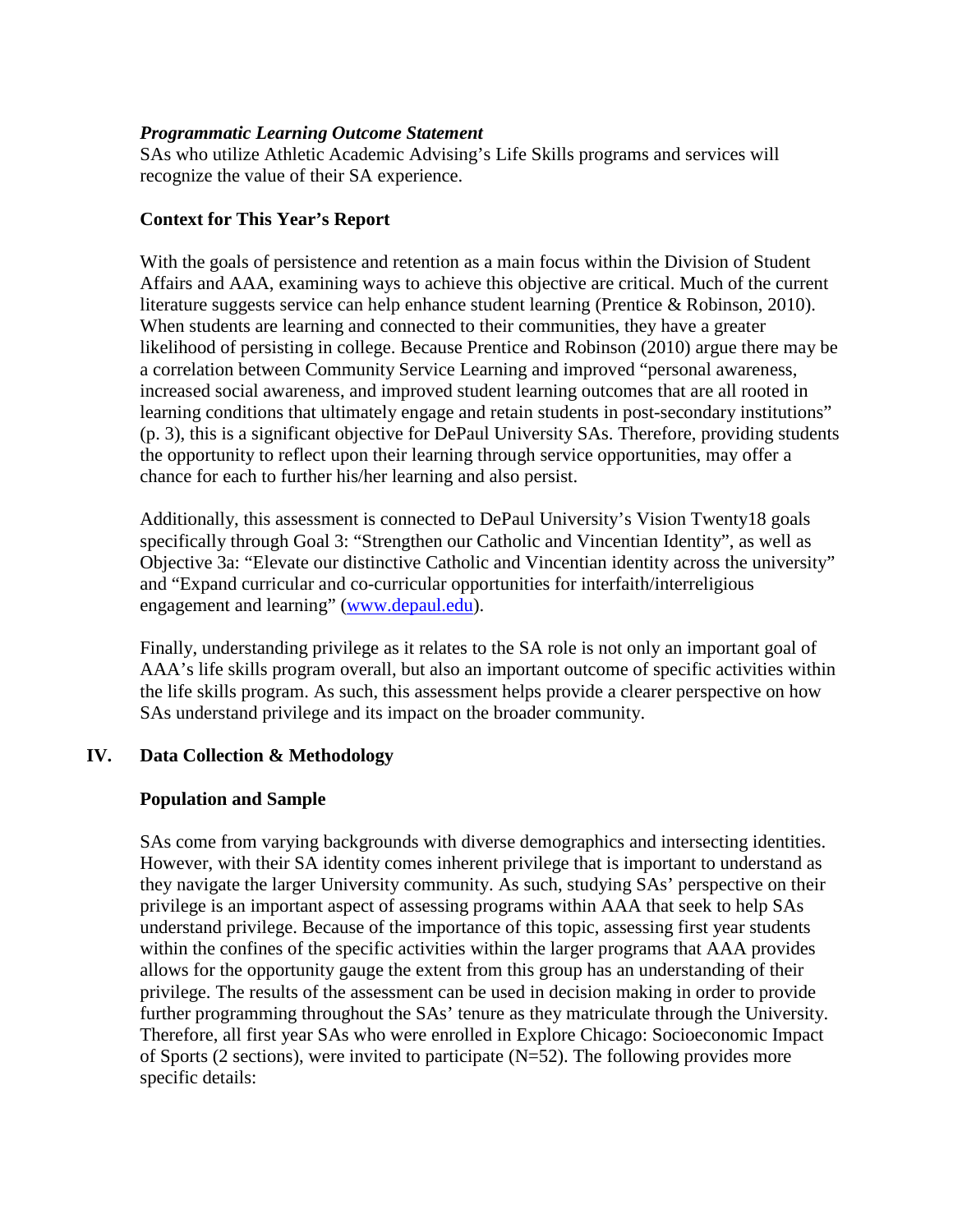#### *Programmatic Learning Outcome Statement*

SAs who utilize Athletic Academic Advising's Life Skills programs and services will recognize the value of their SA experience.

## **Context for This Year's Report**

With the goals of persistence and retention as a main focus within the Division of Student Affairs and AAA, examining ways to achieve this objective are critical. Much of the current literature suggests service can help enhance student learning (Prentice & Robinson, 2010). When students are learning and connected to their communities, they have a greater likelihood of persisting in college. Because Prentice and Robinson (2010) argue there may be a correlation between Community Service Learning and improved "personal awareness, increased social awareness, and improved student learning outcomes that are all rooted in learning conditions that ultimately engage and retain students in post-secondary institutions" (p. 3), this is a significant objective for DePaul University SAs. Therefore, providing students the opportunity to reflect upon their learning through service opportunities, may offer a chance for each to further his/her learning and also persist.

Additionally, this assessment is connected to DePaul University's Vision Twenty18 goals specifically through Goal 3: "Strengthen our Catholic and Vincentian Identity", as well as Objective 3a: "Elevate our distinctive Catholic and Vincentian identity across the university" and "Expand curricular and co-curricular opportunities for interfaith/interreligious engagement and learning" [\(www.depaul.edu\)](http://www.depaul.edu/).

Finally, understanding privilege as it relates to the SA role is not only an important goal of AAA's life skills program overall, but also an important outcome of specific activities within the life skills program. As such, this assessment helps provide a clearer perspective on how SAs understand privilege and its impact on the broader community.

## **IV. Data Collection & Methodology**

## **Population and Sample**

SAs come from varying backgrounds with diverse demographics and intersecting identities. However, with their SA identity comes inherent privilege that is important to understand as they navigate the larger University community. As such, studying SAs' perspective on their privilege is an important aspect of assessing programs within AAA that seek to help SAs understand privilege. Because of the importance of this topic, assessing first year students within the confines of the specific activities within the larger programs that AAA provides allows for the opportunity gauge the extent from this group has an understanding of their privilege. The results of the assessment can be used in decision making in order to provide further programming throughout the SAs' tenure as they matriculate through the University. Therefore, all first year SAs who were enrolled in Explore Chicago: Socioeconomic Impact of Sports (2 sections), were invited to participate (N=52). The following provides more specific details: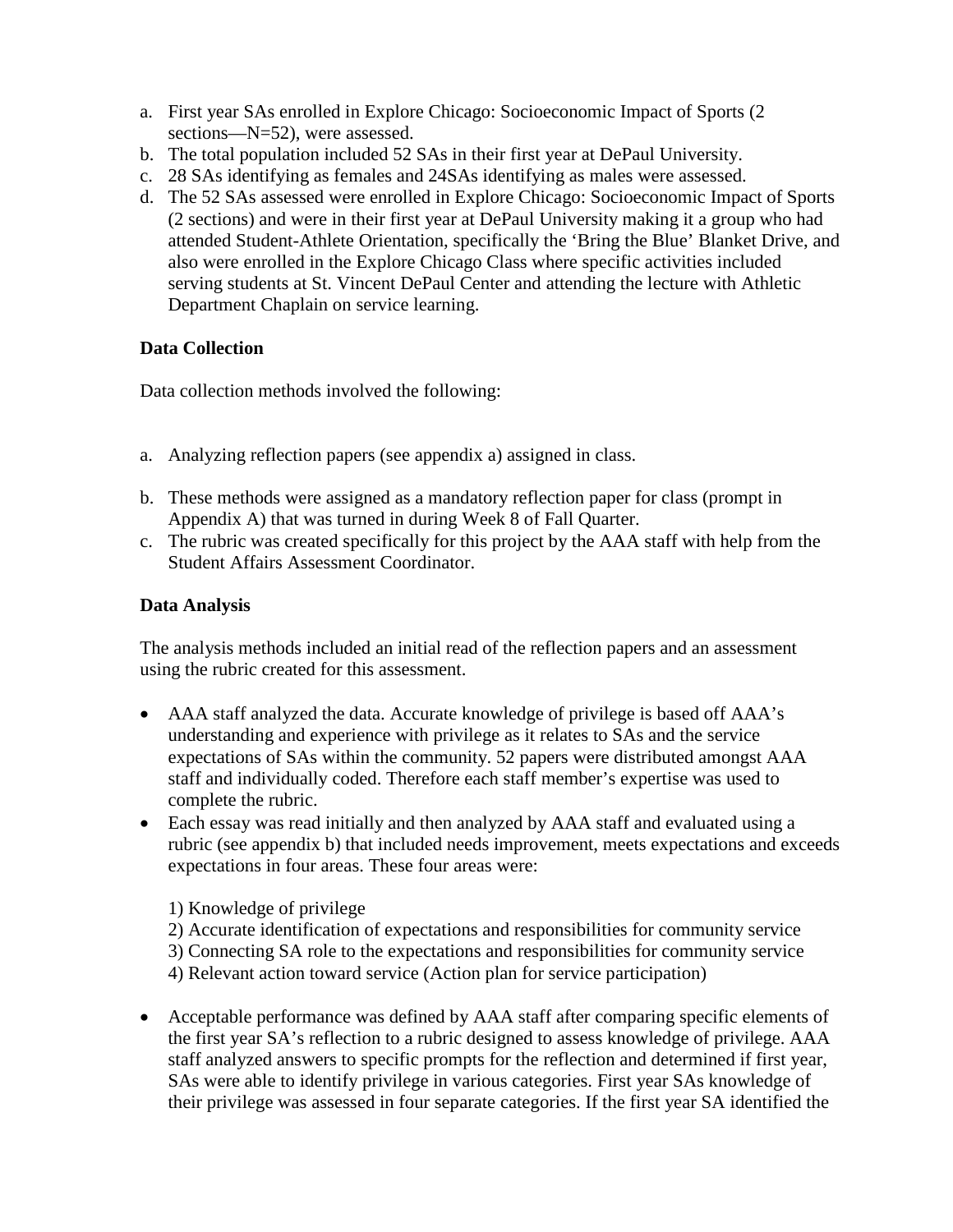- a. First year SAs enrolled in Explore Chicago: Socioeconomic Impact of Sports (2 sections—N=52), were assessed.
- b. The total population included 52 SAs in their first year at DePaul University.
- c. 28 SAs identifying as females and 24SAs identifying as males were assessed.
- d. The 52 SAs assessed were enrolled in Explore Chicago: Socioeconomic Impact of Sports (2 sections) and were in their first year at DePaul University making it a group who had attended Student-Athlete Orientation, specifically the 'Bring the Blue' Blanket Drive, and also were enrolled in the Explore Chicago Class where specific activities included serving students at St. Vincent DePaul Center and attending the lecture with Athletic Department Chaplain on service learning.

# **Data Collection**

Data collection methods involved the following:

- a. Analyzing reflection papers (see appendix a) assigned in class.
- b. These methods were assigned as a mandatory reflection paper for class (prompt in Appendix A) that was turned in during Week 8 of Fall Quarter.
- c. The rubric was created specifically for this project by the AAA staff with help from the Student Affairs Assessment Coordinator.

# **Data Analysis**

The analysis methods included an initial read of the reflection papers and an assessment using the rubric created for this assessment.

- AAA staff analyzed the data. Accurate knowledge of privilege is based off AAA's understanding and experience with privilege as it relates to SAs and the service expectations of SAs within the community. 52 papers were distributed amongst AAA staff and individually coded. Therefore each staff member's expertise was used to complete the rubric.
- Each essay was read initially and then analyzed by AAA staff and evaluated using a rubric (see appendix b) that included needs improvement, meets expectations and exceeds expectations in four areas. These four areas were:

1) Knowledge of privilege

- 2) Accurate identification of expectations and responsibilities for community service
- 3) Connecting SA role to the expectations and responsibilities for community service 4) Relevant action toward service (Action plan for service participation)
- Acceptable performance was defined by AAA staff after comparing specific elements of the first year SA's reflection to a rubric designed to assess knowledge of privilege. AAA staff analyzed answers to specific prompts for the reflection and determined if first year, SAs were able to identify privilege in various categories. First year SAs knowledge of their privilege was assessed in four separate categories. If the first year SA identified the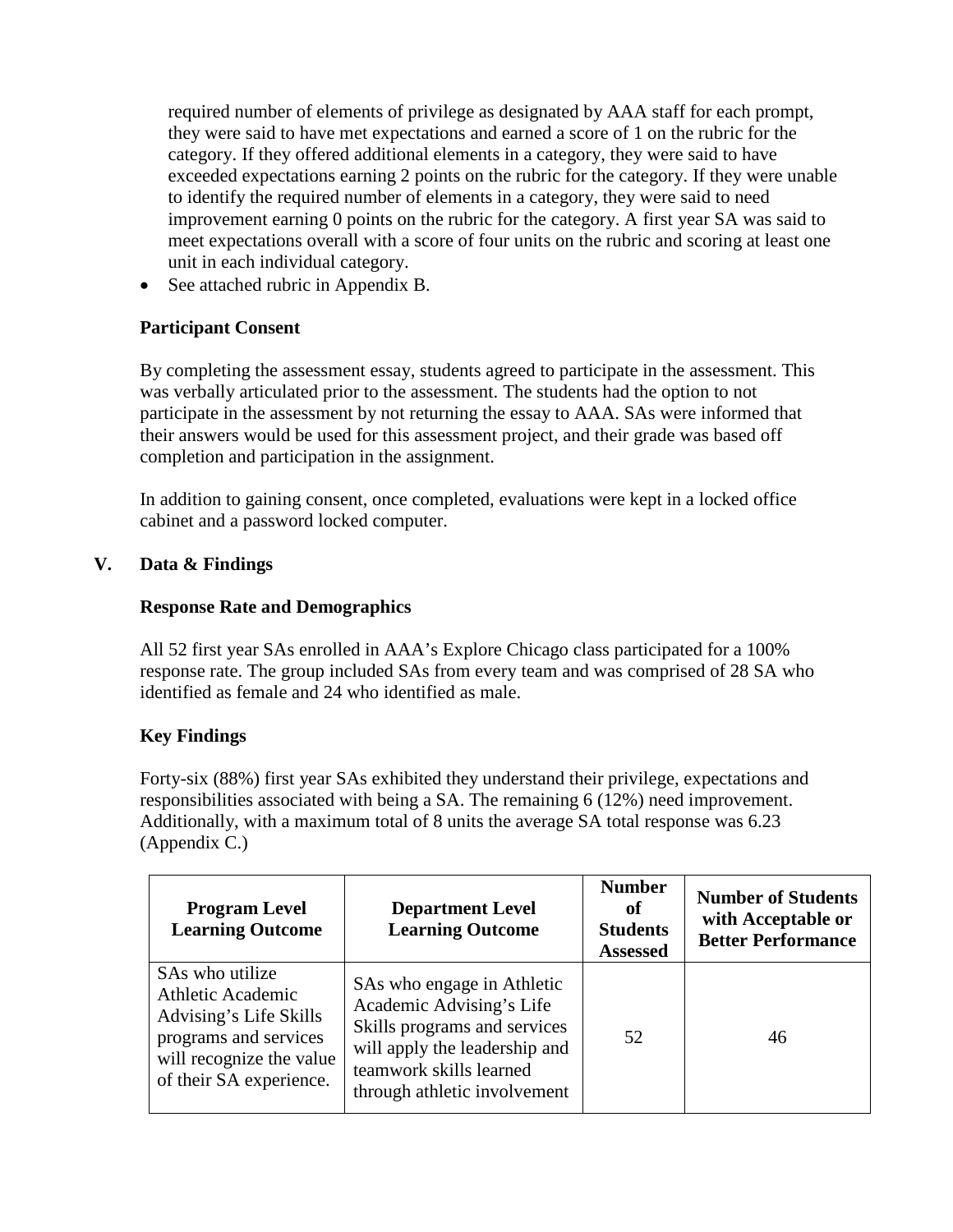required number of elements of privilege as designated by AAA staff for each prompt, they were said to have met expectations and earned a score of 1 on the rubric for the category. If they offered additional elements in a category, they were said to have exceeded expectations earning 2 points on the rubric for the category. If they were unable to identify the required number of elements in a category, they were said to need improvement earning 0 points on the rubric for the category. A first year SA was said to meet expectations overall with a score of four units on the rubric and scoring at least one unit in each individual category.

• See attached rubric in Appendix B.

## **Participant Consent**

By completing the assessment essay, students agreed to participate in the assessment. This was verbally articulated prior to the assessment. The students had the option to not participate in the assessment by not returning the essay to AAA. SAs were informed that their answers would be used for this assessment project, and their grade was based off completion and participation in the assignment.

In addition to gaining consent, once completed, evaluations were kept in a locked office cabinet and a password locked computer.

## **V. Data & Findings**

## **Response Rate and Demographics**

All 52 first year SAs enrolled in AAA's Explore Chicago class participated for a 100% response rate. The group included SAs from every team and was comprised of 28 SA who identified as female and 24 who identified as male.

# **Key Findings**

Forty-six (88%) first year SAs exhibited they understand their privilege, expectations and responsibilities associated with being a SA. The remaining 6 (12%) need improvement. Additionally, with a maximum total of 8 units the average SA total response was 6.23 (Appendix C.)

| <b>Program Level</b><br><b>Learning Outcome</b>                                                                                                       | <b>Department Level</b><br><b>Learning Outcome</b>                                                                                                                                 | <b>Number</b><br>of<br><b>Students</b><br><b>Assessed</b> | <b>Number of Students</b><br>with Acceptable or<br><b>Better Performance</b> |
|-------------------------------------------------------------------------------------------------------------------------------------------------------|------------------------------------------------------------------------------------------------------------------------------------------------------------------------------------|-----------------------------------------------------------|------------------------------------------------------------------------------|
| SAs who utilize<br><b>Athletic Academic</b><br>Advising's Life Skills<br>programs and services<br>will recognize the value<br>of their SA experience. | SAs who engage in Athletic<br>Academic Advising's Life<br>Skills programs and services<br>will apply the leadership and<br>teamwork skills learned<br>through athletic involvement | 52                                                        | 46                                                                           |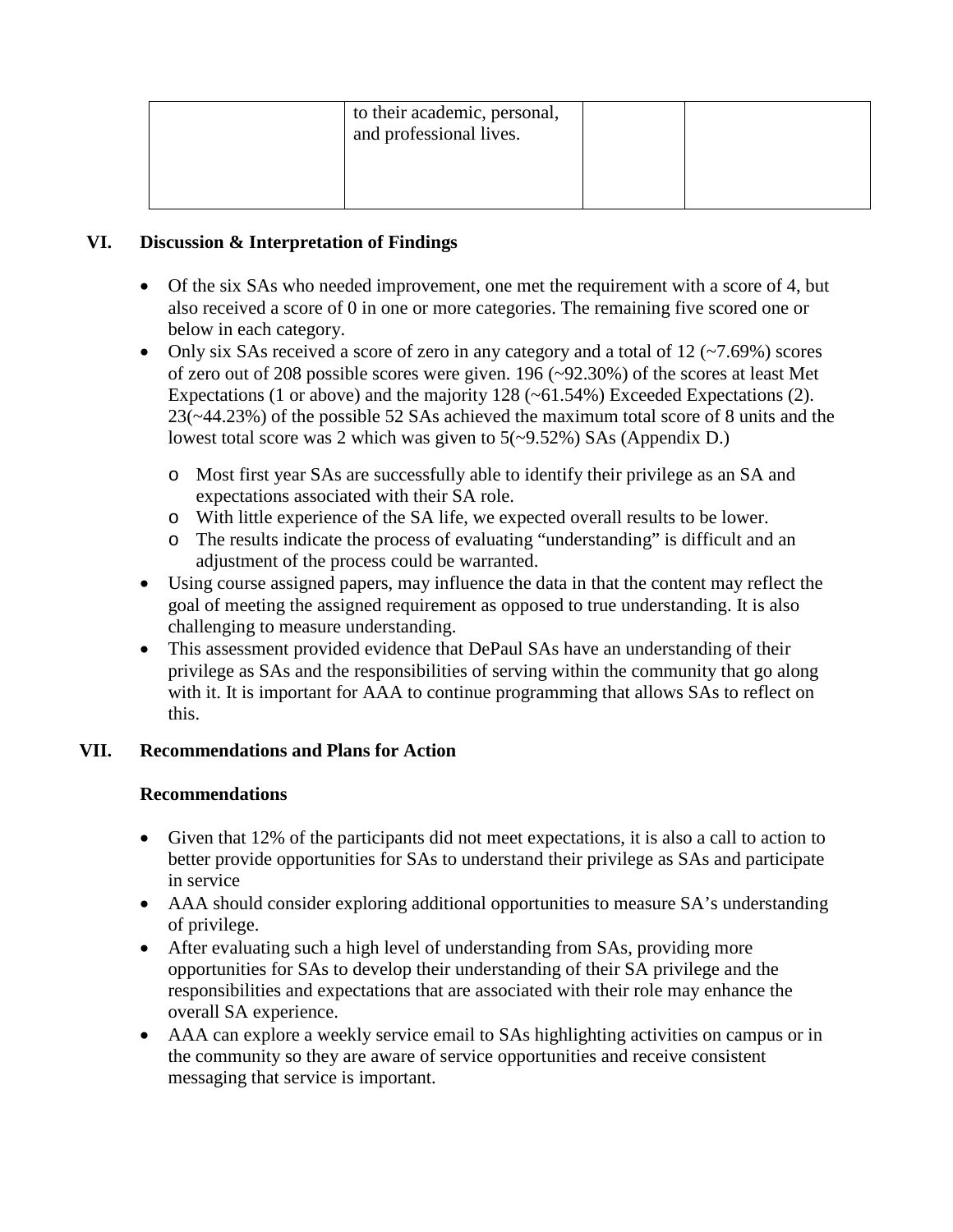| to their academic, personal,<br>and professional lives. |  |
|---------------------------------------------------------|--|
|                                                         |  |

## **VI. Discussion & Interpretation of Findings**

- Of the six SAs who needed improvement, one met the requirement with a score of 4, but also received a score of 0 in one or more categories. The remaining five scored one or below in each category.
- Only six SAs received a score of zero in any category and a total of  $12$  ( $\sim$ 7.69%) scores of zero out of 208 possible scores were given. 196 (~92.30%) of the scores at least Met Expectations (1 or above) and the majority  $128$  ( $\sim$  61.54%) Exceeded Expectations (2). 23(~44.23%) of the possible 52 SAs achieved the maximum total score of 8 units and the lowest total score was 2 which was given to 5(~9.52%) SAs (Appendix D.)
	- o Most first year SAs are successfully able to identify their privilege as an SA and expectations associated with their SA role.
	- o With little experience of the SA life, we expected overall results to be lower.
	- o The results indicate the process of evaluating "understanding" is difficult and an adjustment of the process could be warranted.
- Using course assigned papers, may influence the data in that the content may reflect the goal of meeting the assigned requirement as opposed to true understanding. It is also challenging to measure understanding.
- This assessment provided evidence that DePaul SAs have an understanding of their privilege as SAs and the responsibilities of serving within the community that go along with it. It is important for AAA to continue programming that allows SAs to reflect on this.

# **VII. Recommendations and Plans for Action**

## **Recommendations**

- Given that 12% of the participants did not meet expectations, it is also a call to action to better provide opportunities for SAs to understand their privilege as SAs and participate in service
- AAA should consider exploring additional opportunities to measure SA's understanding of privilege.
- After evaluating such a high level of understanding from SAs, providing more opportunities for SAs to develop their understanding of their SA privilege and the responsibilities and expectations that are associated with their role may enhance the overall SA experience.
- AAA can explore a weekly service email to SAs highlighting activities on campus or in the community so they are aware of service opportunities and receive consistent messaging that service is important.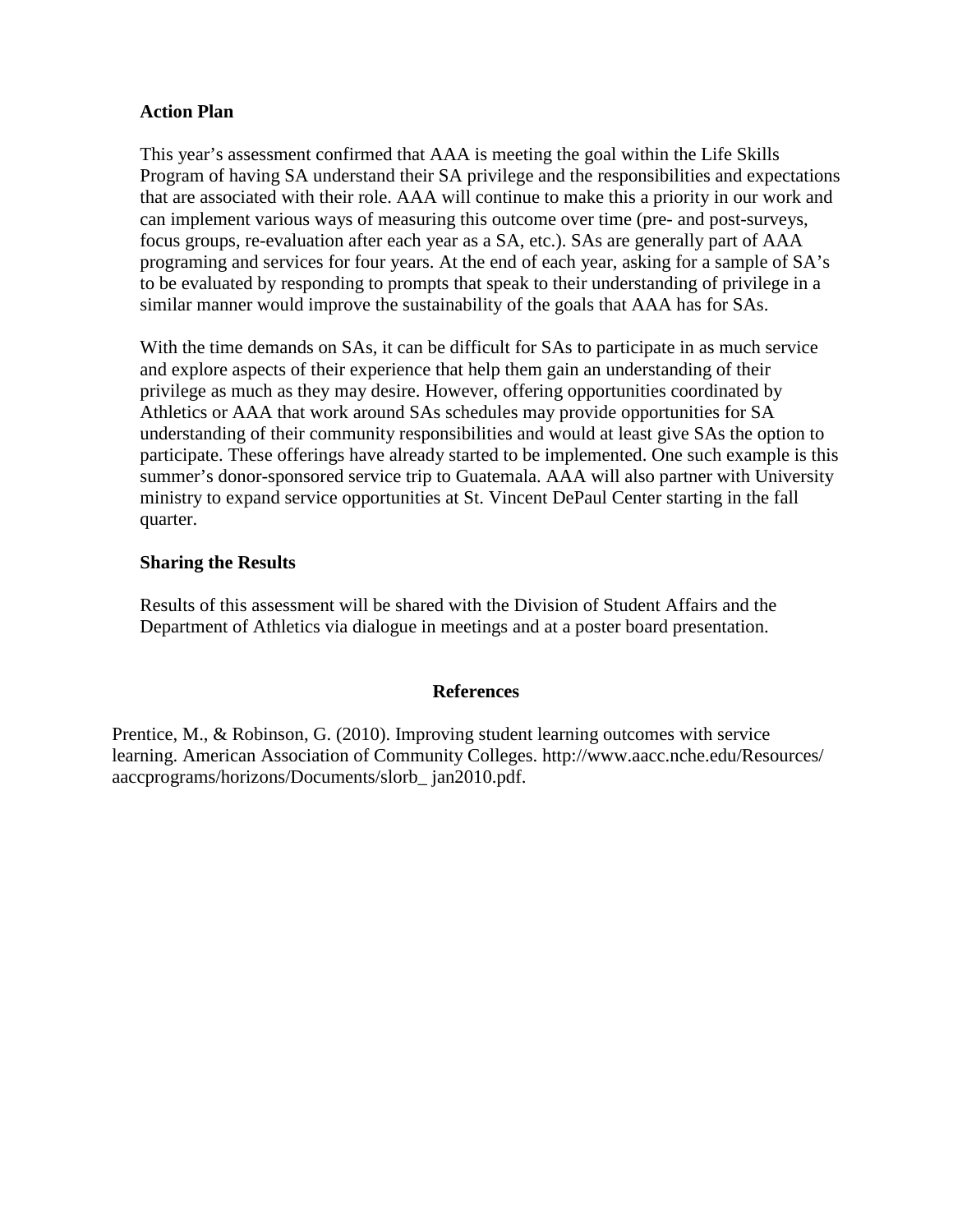## **Action Plan**

This year's assessment confirmed that AAA is meeting the goal within the Life Skills Program of having SA understand their SA privilege and the responsibilities and expectations that are associated with their role. AAA will continue to make this a priority in our work and can implement various ways of measuring this outcome over time (pre- and post-surveys, focus groups, re-evaluation after each year as a SA, etc.). SAs are generally part of AAA programing and services for four years. At the end of each year, asking for a sample of SA's to be evaluated by responding to prompts that speak to their understanding of privilege in a similar manner would improve the sustainability of the goals that AAA has for SAs.

With the time demands on SAs, it can be difficult for SAs to participate in as much service and explore aspects of their experience that help them gain an understanding of their privilege as much as they may desire. However, offering opportunities coordinated by Athletics or AAA that work around SAs schedules may provide opportunities for SA understanding of their community responsibilities and would at least give SAs the option to participate. These offerings have already started to be implemented. One such example is this summer's donor-sponsored service trip to Guatemala. AAA will also partner with University ministry to expand service opportunities at St. Vincent DePaul Center starting in the fall quarter.

## **Sharing the Results**

Results of this assessment will be shared with the Division of Student Affairs and the Department of Athletics via dialogue in meetings and at a poster board presentation.

#### **References**

Prentice, M., & Robinson, G. (2010). Improving student learning outcomes with service learning. American Association of Community Colleges. http://www.aacc.nche.edu/Resources/ aaccprograms/horizons/Documents/slorb\_ jan2010.pdf.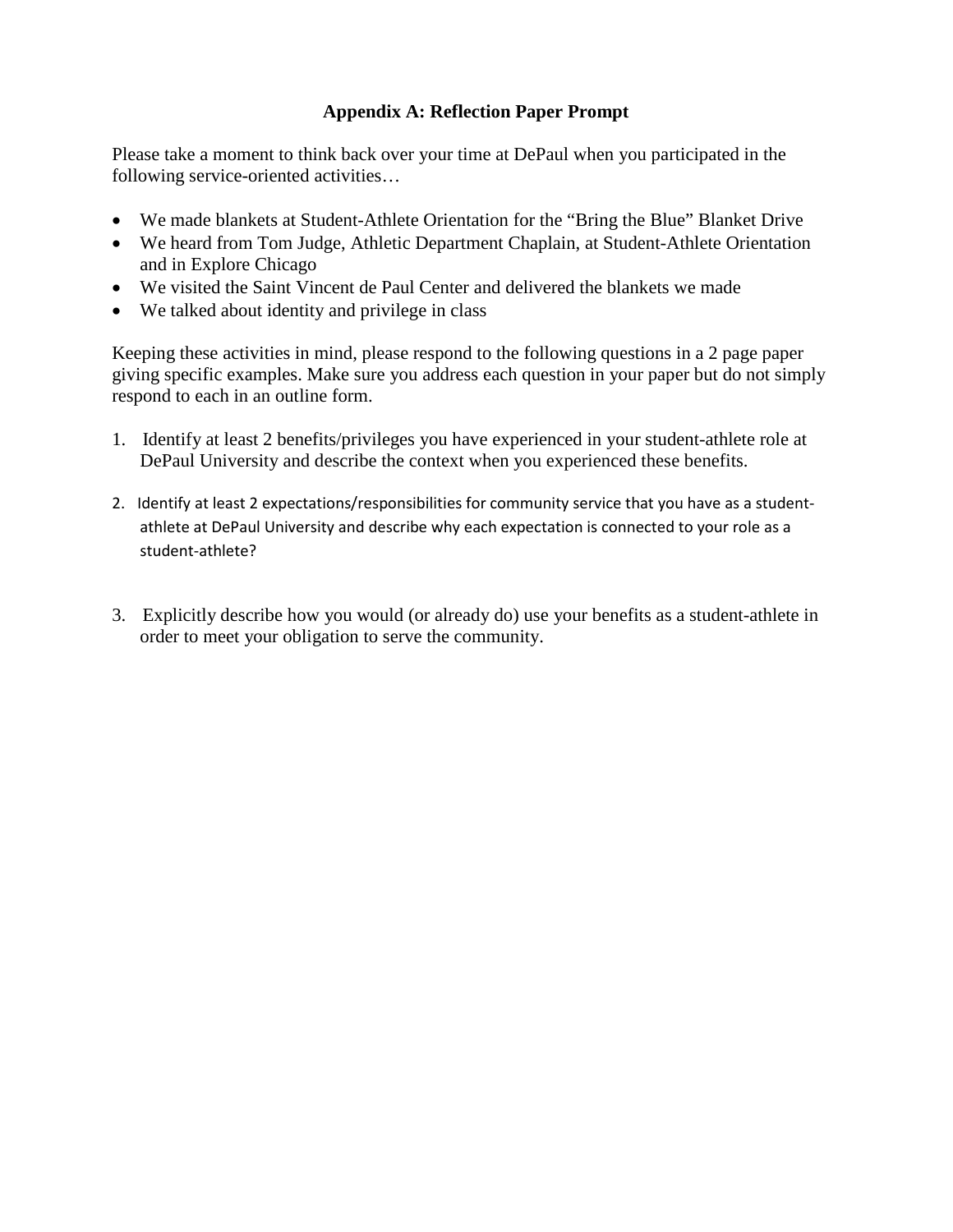## **Appendix A: Reflection Paper Prompt**

Please take a moment to think back over your time at DePaul when you participated in the following service-oriented activities…

- We made blankets at Student-Athlete Orientation for the "Bring the Blue" Blanket Drive
- We heard from Tom Judge, Athletic Department Chaplain, at Student-Athlete Orientation and in Explore Chicago
- We visited the Saint Vincent de Paul Center and delivered the blankets we made
- We talked about identity and privilege in class

Keeping these activities in mind, please respond to the following questions in a 2 page paper giving specific examples. Make sure you address each question in your paper but do not simply respond to each in an outline form.

- 1. Identify at least 2 benefits/privileges you have experienced in your student-athlete role at DePaul University and describe the context when you experienced these benefits.
- 2. Identify at least 2 expectations/responsibilities for community service that you have as a studentathlete at DePaul University and describe why each expectation is connected to your role as a student-athlete?
- 3. Explicitly describe how you would (or already do) use your benefits as a student-athlete in order to meet your obligation to serve the community.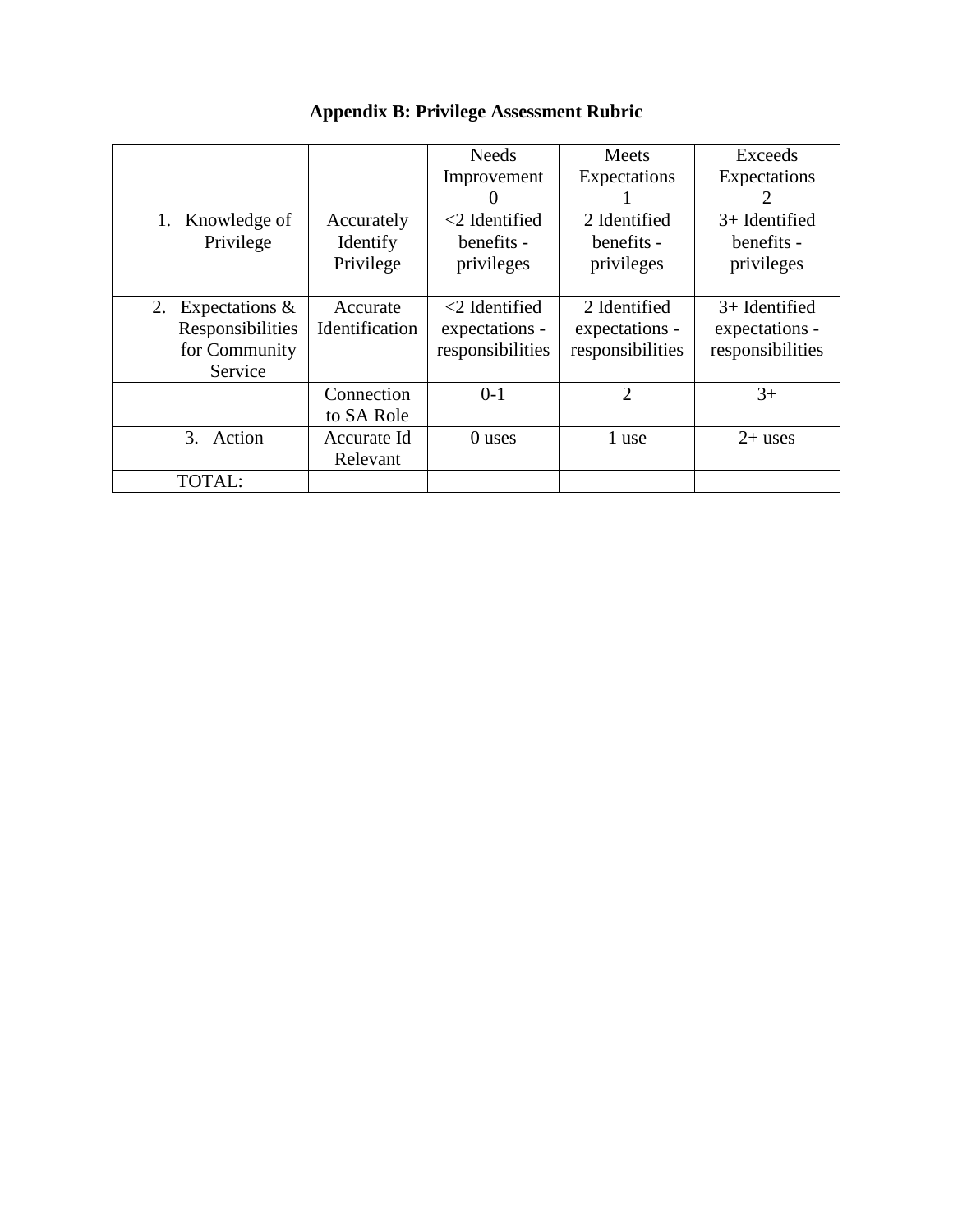|                      |                | <b>Needs</b>     | Meets            | Exceeds                                                                                                                                                                                                                                                                                                                                                                                                                                                                      |
|----------------------|----------------|------------------|------------------|------------------------------------------------------------------------------------------------------------------------------------------------------------------------------------------------------------------------------------------------------------------------------------------------------------------------------------------------------------------------------------------------------------------------------------------------------------------------------|
|                      |                | Improvement      | Expectations     | Expectations                                                                                                                                                                                                                                                                                                                                                                                                                                                                 |
|                      |                | 0                |                  | $\mathcal{D}_{\mathcal{A}}^{\mathcal{A}}(\mathcal{A})=\mathcal{A}_{\mathcal{A}}^{\mathcal{A}}(\mathcal{A})\mathcal{A}_{\mathcal{A}}^{\mathcal{A}}(\mathcal{A})\mathcal{A}_{\mathcal{A}}^{\mathcal{A}}(\mathcal{A})\mathcal{A}_{\mathcal{A}}^{\mathcal{A}}(\mathcal{A})\mathcal{A}_{\mathcal{A}}^{\mathcal{A}}(\mathcal{A})\mathcal{A}_{\mathcal{A}}^{\mathcal{A}}(\mathcal{A})\mathcal{A}_{\mathcal{A}}^{\mathcal{A}}(\mathcal{A})\mathcal{A}_{\mathcal{A}}^{\mathcal{A}}(\$ |
| Knowledge of<br>1.   | Accurately     | $<$ 2 Identified | 2 Identified     | $3+$ Identified                                                                                                                                                                                                                                                                                                                                                                                                                                                              |
| Privilege            | Identify       | benefits -       | benefits -       | benefits -                                                                                                                                                                                                                                                                                                                                                                                                                                                                   |
|                      | Privilege      | privileges       | privileges       | privileges                                                                                                                                                                                                                                                                                                                                                                                                                                                                   |
|                      |                |                  |                  |                                                                                                                                                                                                                                                                                                                                                                                                                                                                              |
| 2. Expectations $\&$ | Accurate       | $<$ 2 Identified | 2 Identified     | $3+$ Identified                                                                                                                                                                                                                                                                                                                                                                                                                                                              |
| Responsibilities     | Identification | expectations -   | expectations -   | expectations -                                                                                                                                                                                                                                                                                                                                                                                                                                                               |
| for Community        |                | responsibilities | responsibilities | responsibilities                                                                                                                                                                                                                                                                                                                                                                                                                                                             |
| Service              |                |                  |                  |                                                                                                                                                                                                                                                                                                                                                                                                                                                                              |
|                      | Connection     | $0-1$            | $\overline{2}$   | $3+$                                                                                                                                                                                                                                                                                                                                                                                                                                                                         |
|                      | to SA Role     |                  |                  |                                                                                                                                                                                                                                                                                                                                                                                                                                                                              |
| 3.<br>Action         | Accurate Id    | 0 uses           | 1 use            | $2+$ uses                                                                                                                                                                                                                                                                                                                                                                                                                                                                    |
|                      | Relevant       |                  |                  |                                                                                                                                                                                                                                                                                                                                                                                                                                                                              |
| <b>TOTAL:</b>        |                |                  |                  |                                                                                                                                                                                                                                                                                                                                                                                                                                                                              |

# **Appendix B: Privilege Assessment Rubric**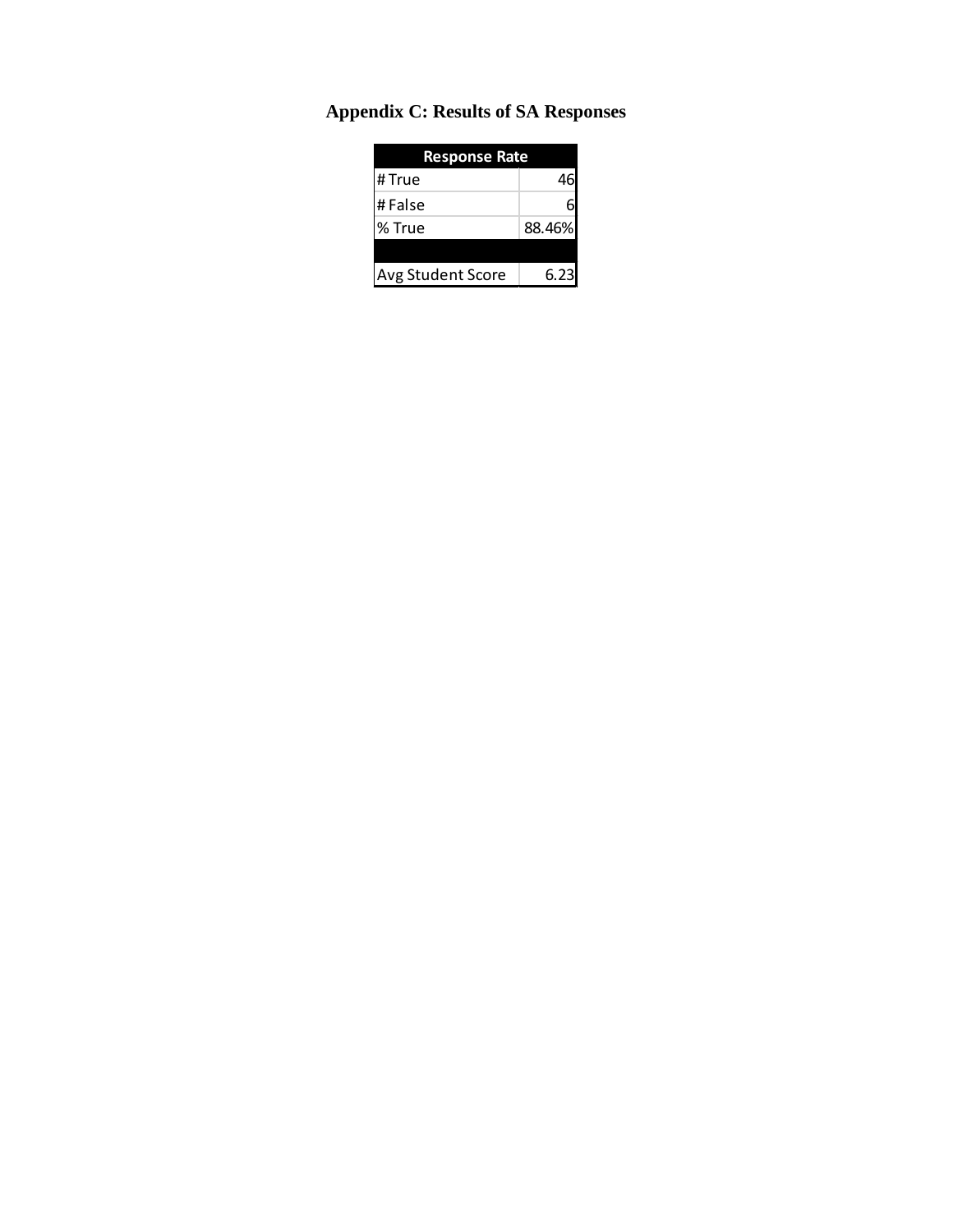| <b>Response Rate</b>     |        |  |
|--------------------------|--------|--|
| # True                   | 46     |  |
| #False                   | 6      |  |
| % True                   | 88.46% |  |
|                          |        |  |
| <b>Avg Student Score</b> | 6.23   |  |

# **Appendix C: Results of SA Responses**